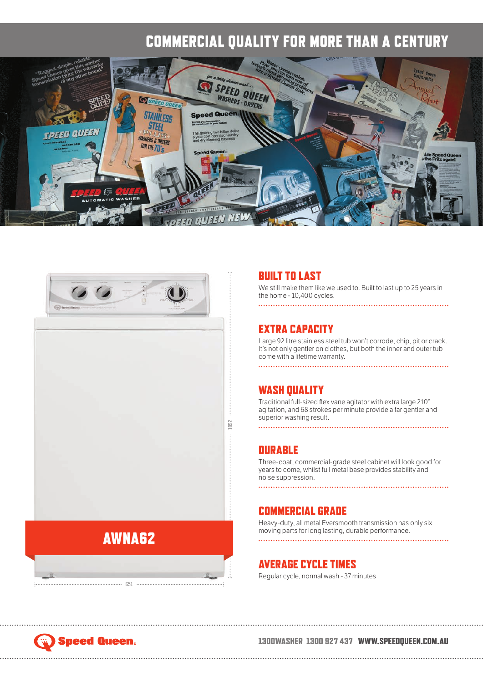# COMMERCIAL QUALITY FOR MORE THAN A CENTURY





# AWNA62

651

#### BUILT TO LAST

We still make them like we used to. Built to last up to 25 years in the home - 10,400 cycles. 

#### EXTRA CAPACITY

Large 92 litre stainless steel tub won't corrode, chip, pit or crack. It's not only gentler on clothes, but both the inner and outer tub come with a lifetime warranty.

#### 

#### WASH QUALITY

Traditional full-sized flex vane agitator with extra large 210° agitation, and 68 strokes per minute provide a far gentler and superior washing result.

#### **DURABLE**

Three-coat, commercial-grade steel cabinet will look good for years to come, whilst full metal base provides stability and noise suppression.

#### COMMERCIAL GRADE

Heavy-duty, all metal Eversmooth transmission has only six moving parts for long lasting, durable performance. 

#### AVERAGE CYCLE TIMES

Regular cycle, normal wash - 37 minutes



#### 1300WASHER 1300 927 437 WWW.SPEEDQUEEN.COM.AU